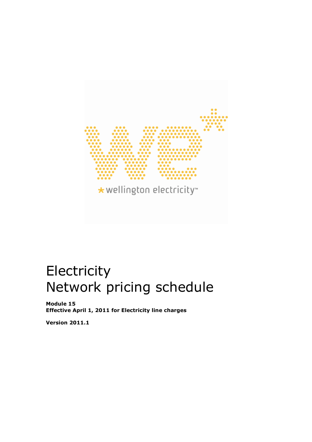

# Electricity Network pricing schedule

Module 15 Effective April 1, 2011 for Electricity line charges

Version 2011.1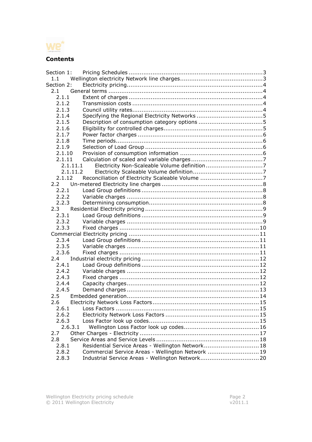

# **Contents**

| Section 1: |                                                   |  |
|------------|---------------------------------------------------|--|
| 1.1        |                                                   |  |
| Section 2: |                                                   |  |
| 2.1        |                                                   |  |
| 2.1.1      |                                                   |  |
| 2.1.2      |                                                   |  |
| 2.1.3      |                                                   |  |
| 2.1.4      |                                                   |  |
| 2.1.5      |                                                   |  |
| 2.1.6      |                                                   |  |
| 2.1.7      |                                                   |  |
| 2.1.8      |                                                   |  |
| 2.1.9      |                                                   |  |
| 2.1.10     |                                                   |  |
| 2.1.11     |                                                   |  |
| 2.1.11.1   |                                                   |  |
| 2.1.11.2   |                                                   |  |
| 2.1.12     |                                                   |  |
| 2.2        |                                                   |  |
| 2.2.1      |                                                   |  |
| 2.2.2      |                                                   |  |
| 2.2.3      |                                                   |  |
| $2.3 -$    |                                                   |  |
| 2.3.1      |                                                   |  |
| 2.3.2      |                                                   |  |
| 2.3.3      |                                                   |  |
|            |                                                   |  |
| 2.3.4      |                                                   |  |
| 2.3.5      |                                                   |  |
| 2.3.6      |                                                   |  |
| 2.4        |                                                   |  |
| 2.4.1      |                                                   |  |
| 2.4.2      |                                                   |  |
| 2.4.3      |                                                   |  |
| 2.4.4      |                                                   |  |
| 2.4.5      |                                                   |  |
| 2.5        |                                                   |  |
| 2.6        |                                                   |  |
| 2.6.1      |                                                   |  |
| 2.6.2      |                                                   |  |
| 2.6.3      |                                                   |  |
| 2.6.3.1    |                                                   |  |
| 2.7        |                                                   |  |
| 2.8        |                                                   |  |
| 2.8.1      | Residential Service Areas - Wellington Network 18 |  |
| 2.8.2      | Commercial Service Areas - Wellington Network  19 |  |
| 2.8.3      |                                                   |  |
|            |                                                   |  |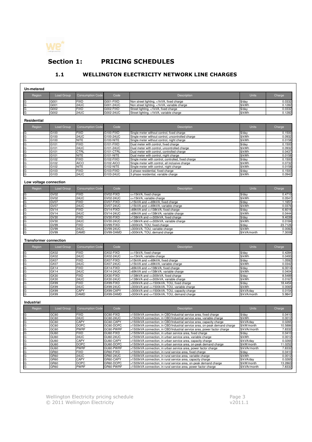

# Section 1: PRICING SCHEDULES

# 1.1 WELLINGTON ELECTRICITY NETWORK LINE CHARGES

| Region<br>Load Group<br><b>Consumption Code</b><br>Code<br><b>Units</b><br><b>Description</b><br>G001<br><b>FIXD</b><br>G001-FIXD<br>G<br>G<br>Non street lighting, <1kVA, fixed charge<br>\$/day<br>24UC<br>G001<br>G001-24UC<br>Non street lighting, <1kVA, variable charge<br>\$/kWh<br>G<br>G002<br><b>FIXD</b><br>G002-FIXD<br>Street lighting, <1kVA, fixed charge<br>$$$ /day<br>G<br>G002-24UC<br>G002<br>24UC<br>Street lighting, <1kVA, variable charge<br>\$/kWh<br><b>Residential</b><br><b>Units</b><br>Region<br>Load Group<br><b>Consumption Code</b><br>Code<br><b>Description</b><br>G100<br><b>FIXD</b><br>G100-FIXD<br>G<br>Single meter without control, fixed charge<br>\$/day<br>G<br>24UC<br>G100-24UC<br>G100<br>\$/kWh<br>Single meter without control, uncontrolled charge<br>G<br>NITE<br>\$/kWh<br>G100<br>G100-NITE<br>Single meter without control, night charge<br>FIXD<br>G101-FIXD<br>G<br>G101<br>Dual meter with control, fixed charge<br>\$/day<br>G<br>G101-24UC<br>G101<br>24UC<br>Dual meter with control, uncontrolled charge<br>\$/kWh<br>CTRL<br>\$/kWh<br>G<br>G101-CTRL<br>G101<br>Dual meter with control, controlled charge<br>G<br>G101<br>NITE<br>G101-NITE<br>\$/kWh<br>Dual meter with control, night charge<br>G<br>G102<br><b>FIXD</b><br>G102-FIXD<br>Single meter with control, controlled, fixed charge<br>\$/day<br>G<br>G102<br><b>AICO</b><br>G102-AICO<br>Single meter with control, all inclusive charge<br>\$/kWh<br>G<br><b>NITE</b><br>G102-NITE<br>Single meter with control, night charge<br>\$/kWh<br>G102<br>G<br>G103<br><b>FIXD</b><br>G103-FIXD<br>3 phase residential, fixed charge<br>\$/day<br>G<br>G103<br>24UC<br>G103-24UC<br>\$/kWh<br>3 phase residential, variable charge<br>Low voltage connection<br>Units<br><b>Consumption Code</b><br>Code<br>Region<br>Load Group<br><b>Description</b><br>GV02-FIXD<br>GV02<br><b>FIXD</b><br><=15kVA, fixed charge<br>G<br>\$/day<br>G<br>24UC<br>GV02-24UC<br>GV02<br><=15kVA, variable charge<br>\$/kWh<br>G<br><b>FIXD</b><br>GV07-FIXD<br>GV07<br>>15kVA and <=69kVA, fixed charge<br>\$/day<br>G<br>24UC<br>GV07-24UC<br>GV07<br>>15kVA and <=69kVA, variable charge<br>\$/kWh<br>G<br><b>FIXD</b><br>GV14<br>GV14-FIXD<br>>69kVA and <=138kVA, fixed charge<br>\$/day<br>G<br>24UC<br>GV14-24UC<br>GV14<br>>69kVA and <=138kVA, variable charge<br>\$/kWh<br>G<br>GV30<br>FIXD<br>GV30-FIXD<br>>138kVA and <= 300kVA, fixed charge<br>\$/day<br>G<br>GV30<br>24UC<br>GV30-24UC<br>>138kVA and <= 300kVA, variable charge<br>\$/kWh<br>FIXD<br>G<br>GV99<br>GV99-FIXD<br>>300kVA, TOU, fixed charge<br>\$/day<br>G<br>GV99<br>24UC<br>GV99-24UC<br>\$/kWh<br>-300kVA, TOU, variable charge<br>G<br>GV99<br>DAMD<br>GV99-DAMD<br>-300kVA, TOU, demand charge<br>\$/kVA/month<br><b>Transformer connection</b><br>Code<br><b>Units</b><br>Region<br>Load Group<br><b>Consumption Code</b><br>Description<br><b>FIXD</b><br>GX02-FIXD<br>GX02<br><=15kVA, fixed charge<br>\$/day<br>G<br>G<br>24UC<br>GX02-24UC<br>GX02<br>\$/kWh<br><=15kVA, variable charge<br>G<br><b>FIXD</b><br>GX07<br>GX07-FIXD<br>>15kVA and <=69kVA, fixed charge<br>\$/day<br>G<br>GX07<br>24UC<br>GX07-24UC<br>>15kVA and <=69kVA, variable charge<br>\$/kWh<br>G<br>GX14<br><b>FIXD</b><br>GX14-FIXD<br>>69kVA and <=138kVA, fixed charge<br>\$/day<br>G<br>GX14<br>24UC<br>GX14-24UC<br>>69kVA and <=138kVA, variable charge<br>\$/kWh<br>G<br>GX30<br><b>FIXD</b><br>GX30-FIXD<br>>138kVA and <= 300kVA, fixed charge<br>\$/day<br>G<br>24UC<br>\$/kWh<br>GX30<br>GX30-24UC<br>>138kVA and <=300kVA, variable charge<br>G<br><b>FIXD</b><br>GX99<br>GX99-FIXD<br>>300kVA and <=1500kVA, TOU, fixed charge<br>$$$ /day<br>G<br>GX99<br>24UC<br>GX99-24UC<br>>300kVA and <=1500kVA, TOU, variable charge<br>\$/kWh | Charge<br>0.0332<br>0.1282<br>0.0332<br>0.1282<br>Charge<br>0.1500<br>0.0932<br>0.0158<br>0.1500<br>0.0932<br>0.0437<br>0.0158<br>0.1500<br>0.0732<br>0.0158<br>0.1500<br>0.0942 |
|-------------------------------------------------------------------------------------------------------------------------------------------------------------------------------------------------------------------------------------------------------------------------------------------------------------------------------------------------------------------------------------------------------------------------------------------------------------------------------------------------------------------------------------------------------------------------------------------------------------------------------------------------------------------------------------------------------------------------------------------------------------------------------------------------------------------------------------------------------------------------------------------------------------------------------------------------------------------------------------------------------------------------------------------------------------------------------------------------------------------------------------------------------------------------------------------------------------------------------------------------------------------------------------------------------------------------------------------------------------------------------------------------------------------------------------------------------------------------------------------------------------------------------------------------------------------------------------------------------------------------------------------------------------------------------------------------------------------------------------------------------------------------------------------------------------------------------------------------------------------------------------------------------------------------------------------------------------------------------------------------------------------------------------------------------------------------------------------------------------------------------------------------------------------------------------------------------------------------------------------------------------------------------------------------------------------------------------------------------------------------------------------------------------------------------------------------------------------------------------------------------------------------------------------------------------------------------------------------------------------------------------------------------------------------------------------------------------------------------------------------------------------------------------------------------------------------------------------------------------------------------------------------------------------------------------------------------------------------------------------------------------------------------------------------------------------------------------------------------------------------------------------------------------------------------------------------------------------------------------------------------------------------------------------------------------------------------------------------------------------------------------------------------------------------------------------------------------------------------------------------------------------------------------------------------------------------------------------------------------------------------------------------------------------------------------------------------------------------------------------------------------------------------------------------------------------------|----------------------------------------------------------------------------------------------------------------------------------------------------------------------------------|
|                                                                                                                                                                                                                                                                                                                                                                                                                                                                                                                                                                                                                                                                                                                                                                                                                                                                                                                                                                                                                                                                                                                                                                                                                                                                                                                                                                                                                                                                                                                                                                                                                                                                                                                                                                                                                                                                                                                                                                                                                                                                                                                                                                                                                                                                                                                                                                                                                                                                                                                                                                                                                                                                                                                                                                                                                                                                                                                                                                                                                                                                                                                                                                                                                                                                                                                                                                                                                                                                                                                                                                                                                                                                                                                                                                                                                         |                                                                                                                                                                                  |
|                                                                                                                                                                                                                                                                                                                                                                                                                                                                                                                                                                                                                                                                                                                                                                                                                                                                                                                                                                                                                                                                                                                                                                                                                                                                                                                                                                                                                                                                                                                                                                                                                                                                                                                                                                                                                                                                                                                                                                                                                                                                                                                                                                                                                                                                                                                                                                                                                                                                                                                                                                                                                                                                                                                                                                                                                                                                                                                                                                                                                                                                                                                                                                                                                                                                                                                                                                                                                                                                                                                                                                                                                                                                                                                                                                                                                         |                                                                                                                                                                                  |
|                                                                                                                                                                                                                                                                                                                                                                                                                                                                                                                                                                                                                                                                                                                                                                                                                                                                                                                                                                                                                                                                                                                                                                                                                                                                                                                                                                                                                                                                                                                                                                                                                                                                                                                                                                                                                                                                                                                                                                                                                                                                                                                                                                                                                                                                                                                                                                                                                                                                                                                                                                                                                                                                                                                                                                                                                                                                                                                                                                                                                                                                                                                                                                                                                                                                                                                                                                                                                                                                                                                                                                                                                                                                                                                                                                                                                         |                                                                                                                                                                                  |
|                                                                                                                                                                                                                                                                                                                                                                                                                                                                                                                                                                                                                                                                                                                                                                                                                                                                                                                                                                                                                                                                                                                                                                                                                                                                                                                                                                                                                                                                                                                                                                                                                                                                                                                                                                                                                                                                                                                                                                                                                                                                                                                                                                                                                                                                                                                                                                                                                                                                                                                                                                                                                                                                                                                                                                                                                                                                                                                                                                                                                                                                                                                                                                                                                                                                                                                                                                                                                                                                                                                                                                                                                                                                                                                                                                                                                         |                                                                                                                                                                                  |
|                                                                                                                                                                                                                                                                                                                                                                                                                                                                                                                                                                                                                                                                                                                                                                                                                                                                                                                                                                                                                                                                                                                                                                                                                                                                                                                                                                                                                                                                                                                                                                                                                                                                                                                                                                                                                                                                                                                                                                                                                                                                                                                                                                                                                                                                                                                                                                                                                                                                                                                                                                                                                                                                                                                                                                                                                                                                                                                                                                                                                                                                                                                                                                                                                                                                                                                                                                                                                                                                                                                                                                                                                                                                                                                                                                                                                         |                                                                                                                                                                                  |
|                                                                                                                                                                                                                                                                                                                                                                                                                                                                                                                                                                                                                                                                                                                                                                                                                                                                                                                                                                                                                                                                                                                                                                                                                                                                                                                                                                                                                                                                                                                                                                                                                                                                                                                                                                                                                                                                                                                                                                                                                                                                                                                                                                                                                                                                                                                                                                                                                                                                                                                                                                                                                                                                                                                                                                                                                                                                                                                                                                                                                                                                                                                                                                                                                                                                                                                                                                                                                                                                                                                                                                                                                                                                                                                                                                                                                         |                                                                                                                                                                                  |
|                                                                                                                                                                                                                                                                                                                                                                                                                                                                                                                                                                                                                                                                                                                                                                                                                                                                                                                                                                                                                                                                                                                                                                                                                                                                                                                                                                                                                                                                                                                                                                                                                                                                                                                                                                                                                                                                                                                                                                                                                                                                                                                                                                                                                                                                                                                                                                                                                                                                                                                                                                                                                                                                                                                                                                                                                                                                                                                                                                                                                                                                                                                                                                                                                                                                                                                                                                                                                                                                                                                                                                                                                                                                                                                                                                                                                         |                                                                                                                                                                                  |
|                                                                                                                                                                                                                                                                                                                                                                                                                                                                                                                                                                                                                                                                                                                                                                                                                                                                                                                                                                                                                                                                                                                                                                                                                                                                                                                                                                                                                                                                                                                                                                                                                                                                                                                                                                                                                                                                                                                                                                                                                                                                                                                                                                                                                                                                                                                                                                                                                                                                                                                                                                                                                                                                                                                                                                                                                                                                                                                                                                                                                                                                                                                                                                                                                                                                                                                                                                                                                                                                                                                                                                                                                                                                                                                                                                                                                         |                                                                                                                                                                                  |
|                                                                                                                                                                                                                                                                                                                                                                                                                                                                                                                                                                                                                                                                                                                                                                                                                                                                                                                                                                                                                                                                                                                                                                                                                                                                                                                                                                                                                                                                                                                                                                                                                                                                                                                                                                                                                                                                                                                                                                                                                                                                                                                                                                                                                                                                                                                                                                                                                                                                                                                                                                                                                                                                                                                                                                                                                                                                                                                                                                                                                                                                                                                                                                                                                                                                                                                                                                                                                                                                                                                                                                                                                                                                                                                                                                                                                         |                                                                                                                                                                                  |
|                                                                                                                                                                                                                                                                                                                                                                                                                                                                                                                                                                                                                                                                                                                                                                                                                                                                                                                                                                                                                                                                                                                                                                                                                                                                                                                                                                                                                                                                                                                                                                                                                                                                                                                                                                                                                                                                                                                                                                                                                                                                                                                                                                                                                                                                                                                                                                                                                                                                                                                                                                                                                                                                                                                                                                                                                                                                                                                                                                                                                                                                                                                                                                                                                                                                                                                                                                                                                                                                                                                                                                                                                                                                                                                                                                                                                         |                                                                                                                                                                                  |
|                                                                                                                                                                                                                                                                                                                                                                                                                                                                                                                                                                                                                                                                                                                                                                                                                                                                                                                                                                                                                                                                                                                                                                                                                                                                                                                                                                                                                                                                                                                                                                                                                                                                                                                                                                                                                                                                                                                                                                                                                                                                                                                                                                                                                                                                                                                                                                                                                                                                                                                                                                                                                                                                                                                                                                                                                                                                                                                                                                                                                                                                                                                                                                                                                                                                                                                                                                                                                                                                                                                                                                                                                                                                                                                                                                                                                         |                                                                                                                                                                                  |
|                                                                                                                                                                                                                                                                                                                                                                                                                                                                                                                                                                                                                                                                                                                                                                                                                                                                                                                                                                                                                                                                                                                                                                                                                                                                                                                                                                                                                                                                                                                                                                                                                                                                                                                                                                                                                                                                                                                                                                                                                                                                                                                                                                                                                                                                                                                                                                                                                                                                                                                                                                                                                                                                                                                                                                                                                                                                                                                                                                                                                                                                                                                                                                                                                                                                                                                                                                                                                                                                                                                                                                                                                                                                                                                                                                                                                         |                                                                                                                                                                                  |
|                                                                                                                                                                                                                                                                                                                                                                                                                                                                                                                                                                                                                                                                                                                                                                                                                                                                                                                                                                                                                                                                                                                                                                                                                                                                                                                                                                                                                                                                                                                                                                                                                                                                                                                                                                                                                                                                                                                                                                                                                                                                                                                                                                                                                                                                                                                                                                                                                                                                                                                                                                                                                                                                                                                                                                                                                                                                                                                                                                                                                                                                                                                                                                                                                                                                                                                                                                                                                                                                                                                                                                                                                                                                                                                                                                                                                         |                                                                                                                                                                                  |
|                                                                                                                                                                                                                                                                                                                                                                                                                                                                                                                                                                                                                                                                                                                                                                                                                                                                                                                                                                                                                                                                                                                                                                                                                                                                                                                                                                                                                                                                                                                                                                                                                                                                                                                                                                                                                                                                                                                                                                                                                                                                                                                                                                                                                                                                                                                                                                                                                                                                                                                                                                                                                                                                                                                                                                                                                                                                                                                                                                                                                                                                                                                                                                                                                                                                                                                                                                                                                                                                                                                                                                                                                                                                                                                                                                                                                         |                                                                                                                                                                                  |
|                                                                                                                                                                                                                                                                                                                                                                                                                                                                                                                                                                                                                                                                                                                                                                                                                                                                                                                                                                                                                                                                                                                                                                                                                                                                                                                                                                                                                                                                                                                                                                                                                                                                                                                                                                                                                                                                                                                                                                                                                                                                                                                                                                                                                                                                                                                                                                                                                                                                                                                                                                                                                                                                                                                                                                                                                                                                                                                                                                                                                                                                                                                                                                                                                                                                                                                                                                                                                                                                                                                                                                                                                                                                                                                                                                                                                         |                                                                                                                                                                                  |
|                                                                                                                                                                                                                                                                                                                                                                                                                                                                                                                                                                                                                                                                                                                                                                                                                                                                                                                                                                                                                                                                                                                                                                                                                                                                                                                                                                                                                                                                                                                                                                                                                                                                                                                                                                                                                                                                                                                                                                                                                                                                                                                                                                                                                                                                                                                                                                                                                                                                                                                                                                                                                                                                                                                                                                                                                                                                                                                                                                                                                                                                                                                                                                                                                                                                                                                                                                                                                                                                                                                                                                                                                                                                                                                                                                                                                         |                                                                                                                                                                                  |
|                                                                                                                                                                                                                                                                                                                                                                                                                                                                                                                                                                                                                                                                                                                                                                                                                                                                                                                                                                                                                                                                                                                                                                                                                                                                                                                                                                                                                                                                                                                                                                                                                                                                                                                                                                                                                                                                                                                                                                                                                                                                                                                                                                                                                                                                                                                                                                                                                                                                                                                                                                                                                                                                                                                                                                                                                                                                                                                                                                                                                                                                                                                                                                                                                                                                                                                                                                                                                                                                                                                                                                                                                                                                                                                                                                                                                         |                                                                                                                                                                                  |
|                                                                                                                                                                                                                                                                                                                                                                                                                                                                                                                                                                                                                                                                                                                                                                                                                                                                                                                                                                                                                                                                                                                                                                                                                                                                                                                                                                                                                                                                                                                                                                                                                                                                                                                                                                                                                                                                                                                                                                                                                                                                                                                                                                                                                                                                                                                                                                                                                                                                                                                                                                                                                                                                                                                                                                                                                                                                                                                                                                                                                                                                                                                                                                                                                                                                                                                                                                                                                                                                                                                                                                                                                                                                                                                                                                                                                         |                                                                                                                                                                                  |
|                                                                                                                                                                                                                                                                                                                                                                                                                                                                                                                                                                                                                                                                                                                                                                                                                                                                                                                                                                                                                                                                                                                                                                                                                                                                                                                                                                                                                                                                                                                                                                                                                                                                                                                                                                                                                                                                                                                                                                                                                                                                                                                                                                                                                                                                                                                                                                                                                                                                                                                                                                                                                                                                                                                                                                                                                                                                                                                                                                                                                                                                                                                                                                                                                                                                                                                                                                                                                                                                                                                                                                                                                                                                                                                                                                                                                         |                                                                                                                                                                                  |
|                                                                                                                                                                                                                                                                                                                                                                                                                                                                                                                                                                                                                                                                                                                                                                                                                                                                                                                                                                                                                                                                                                                                                                                                                                                                                                                                                                                                                                                                                                                                                                                                                                                                                                                                                                                                                                                                                                                                                                                                                                                                                                                                                                                                                                                                                                                                                                                                                                                                                                                                                                                                                                                                                                                                                                                                                                                                                                                                                                                                                                                                                                                                                                                                                                                                                                                                                                                                                                                                                                                                                                                                                                                                                                                                                                                                                         | Charge                                                                                                                                                                           |
|                                                                                                                                                                                                                                                                                                                                                                                                                                                                                                                                                                                                                                                                                                                                                                                                                                                                                                                                                                                                                                                                                                                                                                                                                                                                                                                                                                                                                                                                                                                                                                                                                                                                                                                                                                                                                                                                                                                                                                                                                                                                                                                                                                                                                                                                                                                                                                                                                                                                                                                                                                                                                                                                                                                                                                                                                                                                                                                                                                                                                                                                                                                                                                                                                                                                                                                                                                                                                                                                                                                                                                                                                                                                                                                                                                                                                         |                                                                                                                                                                                  |
|                                                                                                                                                                                                                                                                                                                                                                                                                                                                                                                                                                                                                                                                                                                                                                                                                                                                                                                                                                                                                                                                                                                                                                                                                                                                                                                                                                                                                                                                                                                                                                                                                                                                                                                                                                                                                                                                                                                                                                                                                                                                                                                                                                                                                                                                                                                                                                                                                                                                                                                                                                                                                                                                                                                                                                                                                                                                                                                                                                                                                                                                                                                                                                                                                                                                                                                                                                                                                                                                                                                                                                                                                                                                                                                                                                                                                         | 0.4710<br>0.0541                                                                                                                                                                 |
|                                                                                                                                                                                                                                                                                                                                                                                                                                                                                                                                                                                                                                                                                                                                                                                                                                                                                                                                                                                                                                                                                                                                                                                                                                                                                                                                                                                                                                                                                                                                                                                                                                                                                                                                                                                                                                                                                                                                                                                                                                                                                                                                                                                                                                                                                                                                                                                                                                                                                                                                                                                                                                                                                                                                                                                                                                                                                                                                                                                                                                                                                                                                                                                                                                                                                                                                                                                                                                                                                                                                                                                                                                                                                                                                                                                                                         | 1.1651                                                                                                                                                                           |
|                                                                                                                                                                                                                                                                                                                                                                                                                                                                                                                                                                                                                                                                                                                                                                                                                                                                                                                                                                                                                                                                                                                                                                                                                                                                                                                                                                                                                                                                                                                                                                                                                                                                                                                                                                                                                                                                                                                                                                                                                                                                                                                                                                                                                                                                                                                                                                                                                                                                                                                                                                                                                                                                                                                                                                                                                                                                                                                                                                                                                                                                                                                                                                                                                                                                                                                                                                                                                                                                                                                                                                                                                                                                                                                                                                                                                         | 0.0376                                                                                                                                                                           |
|                                                                                                                                                                                                                                                                                                                                                                                                                                                                                                                                                                                                                                                                                                                                                                                                                                                                                                                                                                                                                                                                                                                                                                                                                                                                                                                                                                                                                                                                                                                                                                                                                                                                                                                                                                                                                                                                                                                                                                                                                                                                                                                                                                                                                                                                                                                                                                                                                                                                                                                                                                                                                                                                                                                                                                                                                                                                                                                                                                                                                                                                                                                                                                                                                                                                                                                                                                                                                                                                                                                                                                                                                                                                                                                                                                                                                         | 6.6016                                                                                                                                                                           |
|                                                                                                                                                                                                                                                                                                                                                                                                                                                                                                                                                                                                                                                                                                                                                                                                                                                                                                                                                                                                                                                                                                                                                                                                                                                                                                                                                                                                                                                                                                                                                                                                                                                                                                                                                                                                                                                                                                                                                                                                                                                                                                                                                                                                                                                                                                                                                                                                                                                                                                                                                                                                                                                                                                                                                                                                                                                                                                                                                                                                                                                                                                                                                                                                                                                                                                                                                                                                                                                                                                                                                                                                                                                                                                                                                                                                                         | 0.0444                                                                                                                                                                           |
|                                                                                                                                                                                                                                                                                                                                                                                                                                                                                                                                                                                                                                                                                                                                                                                                                                                                                                                                                                                                                                                                                                                                                                                                                                                                                                                                                                                                                                                                                                                                                                                                                                                                                                                                                                                                                                                                                                                                                                                                                                                                                                                                                                                                                                                                                                                                                                                                                                                                                                                                                                                                                                                                                                                                                                                                                                                                                                                                                                                                                                                                                                                                                                                                                                                                                                                                                                                                                                                                                                                                                                                                                                                                                                                                                                                                                         | 9.4039                                                                                                                                                                           |
|                                                                                                                                                                                                                                                                                                                                                                                                                                                                                                                                                                                                                                                                                                                                                                                                                                                                                                                                                                                                                                                                                                                                                                                                                                                                                                                                                                                                                                                                                                                                                                                                                                                                                                                                                                                                                                                                                                                                                                                                                                                                                                                                                                                                                                                                                                                                                                                                                                                                                                                                                                                                                                                                                                                                                                                                                                                                                                                                                                                                                                                                                                                                                                                                                                                                                                                                                                                                                                                                                                                                                                                                                                                                                                                                                                                                                         | 0.0184                                                                                                                                                                           |
|                                                                                                                                                                                                                                                                                                                                                                                                                                                                                                                                                                                                                                                                                                                                                                                                                                                                                                                                                                                                                                                                                                                                                                                                                                                                                                                                                                                                                                                                                                                                                                                                                                                                                                                                                                                                                                                                                                                                                                                                                                                                                                                                                                                                                                                                                                                                                                                                                                                                                                                                                                                                                                                                                                                                                                                                                                                                                                                                                                                                                                                                                                                                                                                                                                                                                                                                                                                                                                                                                                                                                                                                                                                                                                                                                                                                                         | 23.7126                                                                                                                                                                          |
|                                                                                                                                                                                                                                                                                                                                                                                                                                                                                                                                                                                                                                                                                                                                                                                                                                                                                                                                                                                                                                                                                                                                                                                                                                                                                                                                                                                                                                                                                                                                                                                                                                                                                                                                                                                                                                                                                                                                                                                                                                                                                                                                                                                                                                                                                                                                                                                                                                                                                                                                                                                                                                                                                                                                                                                                                                                                                                                                                                                                                                                                                                                                                                                                                                                                                                                                                                                                                                                                                                                                                                                                                                                                                                                                                                                                                         | 0.0082                                                                                                                                                                           |
|                                                                                                                                                                                                                                                                                                                                                                                                                                                                                                                                                                                                                                                                                                                                                                                                                                                                                                                                                                                                                                                                                                                                                                                                                                                                                                                                                                                                                                                                                                                                                                                                                                                                                                                                                                                                                                                                                                                                                                                                                                                                                                                                                                                                                                                                                                                                                                                                                                                                                                                                                                                                                                                                                                                                                                                                                                                                                                                                                                                                                                                                                                                                                                                                                                                                                                                                                                                                                                                                                                                                                                                                                                                                                                                                                                                                                         | 7.3008                                                                                                                                                                           |
|                                                                                                                                                                                                                                                                                                                                                                                                                                                                                                                                                                                                                                                                                                                                                                                                                                                                                                                                                                                                                                                                                                                                                                                                                                                                                                                                                                                                                                                                                                                                                                                                                                                                                                                                                                                                                                                                                                                                                                                                                                                                                                                                                                                                                                                                                                                                                                                                                                                                                                                                                                                                                                                                                                                                                                                                                                                                                                                                                                                                                                                                                                                                                                                                                                                                                                                                                                                                                                                                                                                                                                                                                                                                                                                                                                                                                         |                                                                                                                                                                                  |
|                                                                                                                                                                                                                                                                                                                                                                                                                                                                                                                                                                                                                                                                                                                                                                                                                                                                                                                                                                                                                                                                                                                                                                                                                                                                                                                                                                                                                                                                                                                                                                                                                                                                                                                                                                                                                                                                                                                                                                                                                                                                                                                                                                                                                                                                                                                                                                                                                                                                                                                                                                                                                                                                                                                                                                                                                                                                                                                                                                                                                                                                                                                                                                                                                                                                                                                                                                                                                                                                                                                                                                                                                                                                                                                                                                                                                         | Charge                                                                                                                                                                           |
|                                                                                                                                                                                                                                                                                                                                                                                                                                                                                                                                                                                                                                                                                                                                                                                                                                                                                                                                                                                                                                                                                                                                                                                                                                                                                                                                                                                                                                                                                                                                                                                                                                                                                                                                                                                                                                                                                                                                                                                                                                                                                                                                                                                                                                                                                                                                                                                                                                                                                                                                                                                                                                                                                                                                                                                                                                                                                                                                                                                                                                                                                                                                                                                                                                                                                                                                                                                                                                                                                                                                                                                                                                                                                                                                                                                                                         | 0.4284                                                                                                                                                                           |
|                                                                                                                                                                                                                                                                                                                                                                                                                                                                                                                                                                                                                                                                                                                                                                                                                                                                                                                                                                                                                                                                                                                                                                                                                                                                                                                                                                                                                                                                                                                                                                                                                                                                                                                                                                                                                                                                                                                                                                                                                                                                                                                                                                                                                                                                                                                                                                                                                                                                                                                                                                                                                                                                                                                                                                                                                                                                                                                                                                                                                                                                                                                                                                                                                                                                                                                                                                                                                                                                                                                                                                                                                                                                                                                                                                                                                         | 0.0493                                                                                                                                                                           |
|                                                                                                                                                                                                                                                                                                                                                                                                                                                                                                                                                                                                                                                                                                                                                                                                                                                                                                                                                                                                                                                                                                                                                                                                                                                                                                                                                                                                                                                                                                                                                                                                                                                                                                                                                                                                                                                                                                                                                                                                                                                                                                                                                                                                                                                                                                                                                                                                                                                                                                                                                                                                                                                                                                                                                                                                                                                                                                                                                                                                                                                                                                                                                                                                                                                                                                                                                                                                                                                                                                                                                                                                                                                                                                                                                                                                                         | 1.0592                                                                                                                                                                           |
|                                                                                                                                                                                                                                                                                                                                                                                                                                                                                                                                                                                                                                                                                                                                                                                                                                                                                                                                                                                                                                                                                                                                                                                                                                                                                                                                                                                                                                                                                                                                                                                                                                                                                                                                                                                                                                                                                                                                                                                                                                                                                                                                                                                                                                                                                                                                                                                                                                                                                                                                                                                                                                                                                                                                                                                                                                                                                                                                                                                                                                                                                                                                                                                                                                                                                                                                                                                                                                                                                                                                                                                                                                                                                                                                                                                                                         | 0.0342                                                                                                                                                                           |
|                                                                                                                                                                                                                                                                                                                                                                                                                                                                                                                                                                                                                                                                                                                                                                                                                                                                                                                                                                                                                                                                                                                                                                                                                                                                                                                                                                                                                                                                                                                                                                                                                                                                                                                                                                                                                                                                                                                                                                                                                                                                                                                                                                                                                                                                                                                                                                                                                                                                                                                                                                                                                                                                                                                                                                                                                                                                                                                                                                                                                                                                                                                                                                                                                                                                                                                                                                                                                                                                                                                                                                                                                                                                                                                                                                                                                         | 6.0014                                                                                                                                                                           |
|                                                                                                                                                                                                                                                                                                                                                                                                                                                                                                                                                                                                                                                                                                                                                                                                                                                                                                                                                                                                                                                                                                                                                                                                                                                                                                                                                                                                                                                                                                                                                                                                                                                                                                                                                                                                                                                                                                                                                                                                                                                                                                                                                                                                                                                                                                                                                                                                                                                                                                                                                                                                                                                                                                                                                                                                                                                                                                                                                                                                                                                                                                                                                                                                                                                                                                                                                                                                                                                                                                                                                                                                                                                                                                                                                                                                                         | 0.0404                                                                                                                                                                           |
|                                                                                                                                                                                                                                                                                                                                                                                                                                                                                                                                                                                                                                                                                                                                                                                                                                                                                                                                                                                                                                                                                                                                                                                                                                                                                                                                                                                                                                                                                                                                                                                                                                                                                                                                                                                                                                                                                                                                                                                                                                                                                                                                                                                                                                                                                                                                                                                                                                                                                                                                                                                                                                                                                                                                                                                                                                                                                                                                                                                                                                                                                                                                                                                                                                                                                                                                                                                                                                                                                                                                                                                                                                                                                                                                                                                                                         | 8.5489<br>0.0167                                                                                                                                                                 |
|                                                                                                                                                                                                                                                                                                                                                                                                                                                                                                                                                                                                                                                                                                                                                                                                                                                                                                                                                                                                                                                                                                                                                                                                                                                                                                                                                                                                                                                                                                                                                                                                                                                                                                                                                                                                                                                                                                                                                                                                                                                                                                                                                                                                                                                                                                                                                                                                                                                                                                                                                                                                                                                                                                                                                                                                                                                                                                                                                                                                                                                                                                                                                                                                                                                                                                                                                                                                                                                                                                                                                                                                                                                                                                                                                                                                                         | 18.4454                                                                                                                                                                          |
|                                                                                                                                                                                                                                                                                                                                                                                                                                                                                                                                                                                                                                                                                                                                                                                                                                                                                                                                                                                                                                                                                                                                                                                                                                                                                                                                                                                                                                                                                                                                                                                                                                                                                                                                                                                                                                                                                                                                                                                                                                                                                                                                                                                                                                                                                                                                                                                                                                                                                                                                                                                                                                                                                                                                                                                                                                                                                                                                                                                                                                                                                                                                                                                                                                                                                                                                                                                                                                                                                                                                                                                                                                                                                                                                                                                                                         | 0.0065                                                                                                                                                                           |
| GX99<br>CAPY<br>GX99-CAPY<br>-300kVA and <=1500kVA, TOU, capacity charge<br>\$/kVA/dav<br>G                                                                                                                                                                                                                                                                                                                                                                                                                                                                                                                                                                                                                                                                                                                                                                                                                                                                                                                                                                                                                                                                                                                                                                                                                                                                                                                                                                                                                                                                                                                                                                                                                                                                                                                                                                                                                                                                                                                                                                                                                                                                                                                                                                                                                                                                                                                                                                                                                                                                                                                                                                                                                                                                                                                                                                                                                                                                                                                                                                                                                                                                                                                                                                                                                                                                                                                                                                                                                                                                                                                                                                                                                                                                                                                             | 0.0154                                                                                                                                                                           |
| G<br>GX99<br>DAMD<br>GX99-DAMD<br>>300kVA and <=1500kVA, TOU, demand charge<br>\$/kVA/month                                                                                                                                                                                                                                                                                                                                                                                                                                                                                                                                                                                                                                                                                                                                                                                                                                                                                                                                                                                                                                                                                                                                                                                                                                                                                                                                                                                                                                                                                                                                                                                                                                                                                                                                                                                                                                                                                                                                                                                                                                                                                                                                                                                                                                                                                                                                                                                                                                                                                                                                                                                                                                                                                                                                                                                                                                                                                                                                                                                                                                                                                                                                                                                                                                                                                                                                                                                                                                                                                                                                                                                                                                                                                                                             | 5.9841                                                                                                                                                                           |
| Industrial                                                                                                                                                                                                                                                                                                                                                                                                                                                                                                                                                                                                                                                                                                                                                                                                                                                                                                                                                                                                                                                                                                                                                                                                                                                                                                                                                                                                                                                                                                                                                                                                                                                                                                                                                                                                                                                                                                                                                                                                                                                                                                                                                                                                                                                                                                                                                                                                                                                                                                                                                                                                                                                                                                                                                                                                                                                                                                                                                                                                                                                                                                                                                                                                                                                                                                                                                                                                                                                                                                                                                                                                                                                                                                                                                                                                              |                                                                                                                                                                                  |
| <b>Consumption Code</b><br>Code<br><b>Units</b><br>Region<br>Load Group<br>Description                                                                                                                                                                                                                                                                                                                                                                                                                                                                                                                                                                                                                                                                                                                                                                                                                                                                                                                                                                                                                                                                                                                                                                                                                                                                                                                                                                                                                                                                                                                                                                                                                                                                                                                                                                                                                                                                                                                                                                                                                                                                                                                                                                                                                                                                                                                                                                                                                                                                                                                                                                                                                                                                                                                                                                                                                                                                                                                                                                                                                                                                                                                                                                                                                                                                                                                                                                                                                                                                                                                                                                                                                                                                                                                                  | Charge                                                                                                                                                                           |
| FIXD<br>GC60-FIXD<br>GC60<br>>1500kVA connection, in CBD/Industrial service area, fixed charge<br>\$/day<br>G                                                                                                                                                                                                                                                                                                                                                                                                                                                                                                                                                                                                                                                                                                                                                                                                                                                                                                                                                                                                                                                                                                                                                                                                                                                                                                                                                                                                                                                                                                                                                                                                                                                                                                                                                                                                                                                                                                                                                                                                                                                                                                                                                                                                                                                                                                                                                                                                                                                                                                                                                                                                                                                                                                                                                                                                                                                                                                                                                                                                                                                                                                                                                                                                                                                                                                                                                                                                                                                                                                                                                                                                                                                                                                           | 0.0410                                                                                                                                                                           |
| G<br>GC60<br>24UC<br>GC60-24UC<br>>1500kVA connection, in CBD/Industrial service area, variable charge<br>\$/kWh                                                                                                                                                                                                                                                                                                                                                                                                                                                                                                                                                                                                                                                                                                                                                                                                                                                                                                                                                                                                                                                                                                                                                                                                                                                                                                                                                                                                                                                                                                                                                                                                                                                                                                                                                                                                                                                                                                                                                                                                                                                                                                                                                                                                                                                                                                                                                                                                                                                                                                                                                                                                                                                                                                                                                                                                                                                                                                                                                                                                                                                                                                                                                                                                                                                                                                                                                                                                                                                                                                                                                                                                                                                                                                        |                                                                                                                                                                                  |
| GC60<br>CAPY<br>GC60-CAPY<br>>1500kVA connection, in CBD/Industrial service area, capacity charge<br>\$/kVA/day<br>G                                                                                                                                                                                                                                                                                                                                                                                                                                                                                                                                                                                                                                                                                                                                                                                                                                                                                                                                                                                                                                                                                                                                                                                                                                                                                                                                                                                                                                                                                                                                                                                                                                                                                                                                                                                                                                                                                                                                                                                                                                                                                                                                                                                                                                                                                                                                                                                                                                                                                                                                                                                                                                                                                                                                                                                                                                                                                                                                                                                                                                                                                                                                                                                                                                                                                                                                                                                                                                                                                                                                                                                                                                                                                                    |                                                                                                                                                                                  |
| G<br>GC60<br>DOPC<br>GC60-DOPC<br>\$/kW/month<br>>1500kVA connection, in CBD/Industrial service area, on-peak demand charge                                                                                                                                                                                                                                                                                                                                                                                                                                                                                                                                                                                                                                                                                                                                                                                                                                                                                                                                                                                                                                                                                                                                                                                                                                                                                                                                                                                                                                                                                                                                                                                                                                                                                                                                                                                                                                                                                                                                                                                                                                                                                                                                                                                                                                                                                                                                                                                                                                                                                                                                                                                                                                                                                                                                                                                                                                                                                                                                                                                                                                                                                                                                                                                                                                                                                                                                                                                                                                                                                                                                                                                                                                                                                             | 0.0012<br>0.0265                                                                                                                                                                 |
| G<br>GC60<br>PWRF<br>GC60-PWRF<br>>1500kVA connection, in CBD/Industrial service area, power factor charge<br>\$/kVAr/month                                                                                                                                                                                                                                                                                                                                                                                                                                                                                                                                                                                                                                                                                                                                                                                                                                                                                                                                                                                                                                                                                                                                                                                                                                                                                                                                                                                                                                                                                                                                                                                                                                                                                                                                                                                                                                                                                                                                                                                                                                                                                                                                                                                                                                                                                                                                                                                                                                                                                                                                                                                                                                                                                                                                                                                                                                                                                                                                                                                                                                                                                                                                                                                                                                                                                                                                                                                                                                                                                                                                                                                                                                                                                             | 10.5886                                                                                                                                                                          |
| G<br>GU60<br>FIXD<br>GU60-FIXD<br>>1500kVA connection, in urban service area, fixed charge<br>\$/day                                                                                                                                                                                                                                                                                                                                                                                                                                                                                                                                                                                                                                                                                                                                                                                                                                                                                                                                                                                                                                                                                                                                                                                                                                                                                                                                                                                                                                                                                                                                                                                                                                                                                                                                                                                                                                                                                                                                                                                                                                                                                                                                                                                                                                                                                                                                                                                                                                                                                                                                                                                                                                                                                                                                                                                                                                                                                                                                                                                                                                                                                                                                                                                                                                                                                                                                                                                                                                                                                                                                                                                                                                                                                                                    | 7.8332                                                                                                                                                                           |
| G<br>GU60<br>24UC<br>GU60-24UC<br>\$/kWh<br>>1500kVA connection, in urban service area, variable charge                                                                                                                                                                                                                                                                                                                                                                                                                                                                                                                                                                                                                                                                                                                                                                                                                                                                                                                                                                                                                                                                                                                                                                                                                                                                                                                                                                                                                                                                                                                                                                                                                                                                                                                                                                                                                                                                                                                                                                                                                                                                                                                                                                                                                                                                                                                                                                                                                                                                                                                                                                                                                                                                                                                                                                                                                                                                                                                                                                                                                                                                                                                                                                                                                                                                                                                                                                                                                                                                                                                                                                                                                                                                                                                 | 0.0410                                                                                                                                                                           |
| G<br>GU60<br>CAPY<br>\$/kVA/day<br>GU60-CAPY<br>>1500kVA connection, in urban service area, capacity charge<br>G<br>GU60<br><b>DOPC</b><br>GU60-DOPC<br>>1500kVA connection, in urban service area, on-peak demand charge<br>\$/kW/month                                                                                                                                                                                                                                                                                                                                                                                                                                                                                                                                                                                                                                                                                                                                                                                                                                                                                                                                                                                                                                                                                                                                                                                                                                                                                                                                                                                                                                                                                                                                                                                                                                                                                                                                                                                                                                                                                                                                                                                                                                                                                                                                                                                                                                                                                                                                                                                                                                                                                                                                                                                                                                                                                                                                                                                                                                                                                                                                                                                                                                                                                                                                                                                                                                                                                                                                                                                                                                                                                                                                                                                | 0.0012                                                                                                                                                                           |
| G<br>GU60<br>PWRF<br>\$/kVAr/month<br>GU60-PWRF<br>>1500kVA connection, in urban service area, power factor charge                                                                                                                                                                                                                                                                                                                                                                                                                                                                                                                                                                                                                                                                                                                                                                                                                                                                                                                                                                                                                                                                                                                                                                                                                                                                                                                                                                                                                                                                                                                                                                                                                                                                                                                                                                                                                                                                                                                                                                                                                                                                                                                                                                                                                                                                                                                                                                                                                                                                                                                                                                                                                                                                                                                                                                                                                                                                                                                                                                                                                                                                                                                                                                                                                                                                                                                                                                                                                                                                                                                                                                                                                                                                                                      | 0.0265                                                                                                                                                                           |
| G<br>GR60<br>FIXD<br>GR60-FIXD<br>>1500kVA connection, in rural service area, fixed charge<br>\$/day                                                                                                                                                                                                                                                                                                                                                                                                                                                                                                                                                                                                                                                                                                                                                                                                                                                                                                                                                                                                                                                                                                                                                                                                                                                                                                                                                                                                                                                                                                                                                                                                                                                                                                                                                                                                                                                                                                                                                                                                                                                                                                                                                                                                                                                                                                                                                                                                                                                                                                                                                                                                                                                                                                                                                                                                                                                                                                                                                                                                                                                                                                                                                                                                                                                                                                                                                                                                                                                                                                                                                                                                                                                                                                                    | 11.0252                                                                                                                                                                          |
| G<br>GR60<br>24UC<br>GR60-24UC<br>>1500kVA connection, in rural service area, variable charge<br>\$/kWh                                                                                                                                                                                                                                                                                                                                                                                                                                                                                                                                                                                                                                                                                                                                                                                                                                                                                                                                                                                                                                                                                                                                                                                                                                                                                                                                                                                                                                                                                                                                                                                                                                                                                                                                                                                                                                                                                                                                                                                                                                                                                                                                                                                                                                                                                                                                                                                                                                                                                                                                                                                                                                                                                                                                                                                                                                                                                                                                                                                                                                                                                                                                                                                                                                                                                                                                                                                                                                                                                                                                                                                                                                                                                                                 | 7.8332                                                                                                                                                                           |
| \$/kVA/day<br>CAPY<br>GR60<br>GR60-CAPY<br>>1500kVA connection, in rural service area, capacity charge<br>G                                                                                                                                                                                                                                                                                                                                                                                                                                                                                                                                                                                                                                                                                                                                                                                                                                                                                                                                                                                                                                                                                                                                                                                                                                                                                                                                                                                                                                                                                                                                                                                                                                                                                                                                                                                                                                                                                                                                                                                                                                                                                                                                                                                                                                                                                                                                                                                                                                                                                                                                                                                                                                                                                                                                                                                                                                                                                                                                                                                                                                                                                                                                                                                                                                                                                                                                                                                                                                                                                                                                                                                                                                                                                                             | 0.0410<br>0.0012                                                                                                                                                                 |
| DOPC<br>GR60-DOPC<br>>1500kVA connection, in rural service area, on-peak demand charge<br>\$/kW/month<br>G<br>GR60                                                                                                                                                                                                                                                                                                                                                                                                                                                                                                                                                                                                                                                                                                                                                                                                                                                                                                                                                                                                                                                                                                                                                                                                                                                                                                                                                                                                                                                                                                                                                                                                                                                                                                                                                                                                                                                                                                                                                                                                                                                                                                                                                                                                                                                                                                                                                                                                                                                                                                                                                                                                                                                                                                                                                                                                                                                                                                                                                                                                                                                                                                                                                                                                                                                                                                                                                                                                                                                                                                                                                                                                                                                                                                      | 0.0265                                                                                                                                                                           |
| G<br>PWRF<br>GR60-PWRF<br>>1500kVA connection, in rural service area, power factor charge<br>\$/kVAr/month<br>GR60                                                                                                                                                                                                                                                                                                                                                                                                                                                                                                                                                                                                                                                                                                                                                                                                                                                                                                                                                                                                                                                                                                                                                                                                                                                                                                                                                                                                                                                                                                                                                                                                                                                                                                                                                                                                                                                                                                                                                                                                                                                                                                                                                                                                                                                                                                                                                                                                                                                                                                                                                                                                                                                                                                                                                                                                                                                                                                                                                                                                                                                                                                                                                                                                                                                                                                                                                                                                                                                                                                                                                                                                                                                                                                      | 13.2863<br>7.8332                                                                                                                                                                |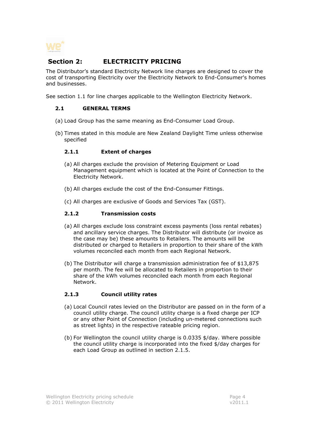

# Section 2: **ELECTRICITY PRICING**

The Distributor's standard Electricity Network line charges are designed to cover the cost of transporting Electricity over the Electricity Network to End-Consumer's homes and businesses.

See section 1.1 for line charges applicable to the Wellington Electricity Network.

# 2.1 GENERAL TERMS

- (a) Load Group has the same meaning as End-Consumer Load Group.
- (b) Times stated in this module are New Zealand Daylight Time unless otherwise specified

# 2.1.1 Extent of charges

- (a) All charges exclude the provision of Metering Equipment or Load Management equipment which is located at the Point of Connection to the Electricity Network.
- (b) All charges exclude the cost of the End-Consumer Fittings.
- (c) All charges are exclusive of Goods and Services Tax (GST).

# 2.1.2 Transmission costs

- (a) All charges exclude loss constraint excess payments (loss rental rebates) and ancillary service charges. The Distributor will distribute (or invoice as the case may be) these amounts to Retailers. The amounts will be distributed or charged to Retailers in proportion to their share of the kWh volumes reconciled each month from each Regional Network.
- (b) The Distributor will charge a transmission administration fee of \$13,875 per month. The fee will be allocated to Retailers in proportion to their share of the kWh volumes reconciled each month from each Regional Network.

# 2.1.3 Council utility rates

- (a) Local Council rates levied on the Distributor are passed on in the form of a council utility charge. The council utility charge is a fixed charge per ICP or any other Point of Connection (including un-metered connections such as street lights) in the respective rateable pricing region.
- (b) For Wellington the council utility charge is 0.0335 \$/day. Where possible the council utility charge is incorporated into the fixed \$/day charges for each Load Group as outlined in section 2.1.5.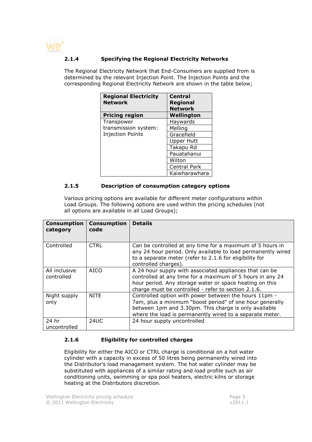

# 2.1.4 Specifying the Regional Electricity Networks

The Regional Electricity Network that End-Consumers are supplied from is determined by the relevant Injection Point. The Injection Points and the corresponding Regional Electricity Network are shown in the table below;

| <b>Regional Electricity</b><br><b>Network</b> | <b>Central</b><br><b>Regional</b><br><b>Network</b> |
|-----------------------------------------------|-----------------------------------------------------|
| <b>Pricing region</b>                         | Wellington                                          |
| Transpower                                    | Haywards                                            |
| transmission system:                          | Melling                                             |
| <b>Injection Points</b>                       | Gracefield                                          |
|                                               | <b>Upper Hutt</b>                                   |
|                                               | Takapu Rd                                           |
|                                               | Pauatahanui                                         |
|                                               | Wilton                                              |
|                                               | Central Park                                        |
|                                               | Kaiwharawhara                                       |

#### 2.1.5 Description of consumption category options

Various pricing options are available for different meter configurations within Load Groups. The following options are used within the pricing schedules (not all options are available in all Load Groups);

| <b>Consumption</b><br>category | <b>Consumption</b><br>code | <b>Details</b>                                                                                                                                                                                                                         |
|--------------------------------|----------------------------|----------------------------------------------------------------------------------------------------------------------------------------------------------------------------------------------------------------------------------------|
| Controlled                     | <b>CTRL</b>                | Can be controlled at any time for a maximum of 5 hours in<br>any 24 hour period. Only available to load permanently wired<br>to a separate meter (refer to 2.1.6 for eligibility for<br>controlled charges).                           |
| All inclusive<br>controlled    | <b>AICO</b>                | A 24 hour supply with associated appliances that can be<br>controlled at any time for a maximum of 5 hours in any 24<br>hour period. Any storage water or space heating on this<br>charge must be controlled - refer to section 2.1.6. |
| Night supply<br>only           | <b>NITE</b>                | Controlled option with power between the hours 11pm -<br>7am, plus a minimum "boost period" of one hour generally<br>between 1pm and 3.30pm. This charge is only available<br>where the load is permanently wired to a separate meter. |
| 24 hr<br>uncontrolled          | 24UC                       | 24 hour supply uncontrolled                                                                                                                                                                                                            |

# 2.1.6 Eligibility for controlled charges

Eligibility for either the AICO or CTRL charge is conditional on a hot water cylinder with a capacity in excess of 50 litres being permanently wired into the Distributor's load management system. The hot water cylinder may be substituted with appliances of a similar rating and load profile such as air conditioning units, swimming or spa pool heaters, electric kilns or storage heating at the Distributors discretion.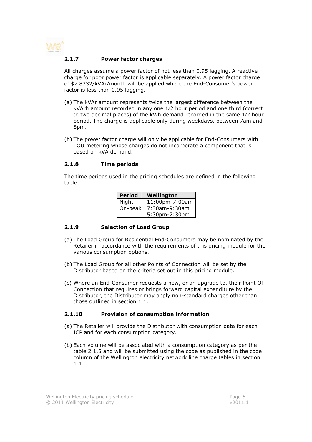

#### 2.1.7 Power factor charges

All charges assume a power factor of not less than 0.95 lagging. A reactive charge for poor power factor is applicable separately. A power factor charge of \$7.8332/kVAr/month will be applied where the End-Consumer's power factor is less than 0.95 lagging.

- (a) The kVAr amount represents twice the largest difference between the kVArh amount recorded in any one 1⁄2 hour period and one third (correct to two decimal places) of the kWh demand recorded in the same 1⁄2 hour period. The charge is applicable only during weekdays, between 7am and 8pm.
- (b) The power factor charge will only be applicable for End-Consumers with TOU metering whose charges do not incorporate a component that is based on kVA demand.

#### 2.1.8 Time periods

The time periods used in the pricing schedules are defined in the following table.

| <b>Period</b> | Wellington     |  |
|---------------|----------------|--|
| Night         | 11:00pm-7:00am |  |
| On-peak       | 7:30am-9:30am  |  |
|               | 5:30pm-7:30pm  |  |

#### 2.1.9 Selection of Load Group

- (a) The Load Group for Residential End-Consumers may be nominated by the Retailer in accordance with the requirements of this pricing module for the various consumption options.
- (b) The Load Group for all other Points of Connection will be set by the Distributor based on the criteria set out in this pricing module.
- (c) Where an End-Consumer requests a new, or an upgrade to, their Point Of Connection that requires or brings forward capital expenditure by the Distributor, the Distributor may apply non-standard charges other than those outlined in section 1.1.

#### 2.1.10 Provision of consumption information

- (a) The Retailer will provide the Distributor with consumption data for each ICP and for each consumption category.
- (b) Each volume will be associated with a consumption category as per the table 2.1.5 and will be submitted using the code as published in the code column of the Wellington electricity network line charge tables in section 1.1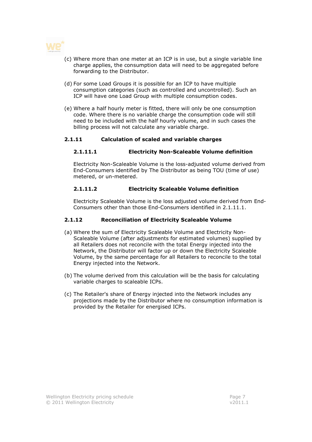

- (c) Where more than one meter at an ICP is in use, but a single variable line charge applies, the consumption data will need to be aggregated before forwarding to the Distributor.
- (d) For some Load Groups it is possible for an ICP to have multiple consumption categories (such as controlled and uncontrolled). Such an ICP will have one Load Group with multiple consumption codes.
- (e) Where a half hourly meter is fitted, there will only be one consumption code. Where there is no variable charge the consumption code will still need to be included with the half hourly volume, and in such cases the billing process will not calculate any variable charge.

# 2.1.11 Calculation of scaled and variable charges

# 2.1.11.1 Electricity Non-Scaleable Volume definition

Electricity Non-Scaleable Volume is the loss-adjusted volume derived from End-Consumers identified by The Distributor as being TOU (time of use) metered, or un-metered.

# 2.1.11.2 Electricity Scaleable Volume definition

Electricity Scaleable Volume is the loss adjusted volume derived from End-Consumers other than those End-Consumers identified in 2.1.11.1.

# 2.1.12 Reconciliation of Electricity Scaleable Volume

- (a) Where the sum of Electricity Scaleable Volume and Electricity Non-Scaleable Volume (after adjustments for estimated volumes) supplied by all Retailers does not reconcile with the total Energy injected into the Network, the Distributor will factor up or down the Electricity Scaleable Volume, by the same percentage for all Retailers to reconcile to the total Energy injected into the Network.
- (b) The volume derived from this calculation will be the basis for calculating variable charges to scaleable ICPs.
- (c) The Retailer's share of Energy injected into the Network includes any projections made by the Distributor where no consumption information is provided by the Retailer for energised ICPs.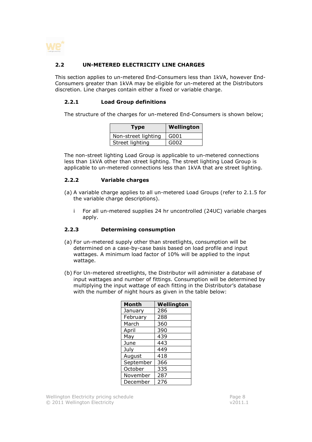

# 2.2 UN-METERED ELECTRICITY LINE CHARGES

This section applies to un-metered End-Consumers less than 1kVA, however End-Consumers greater than 1kVA may be eligible for un-metered at the Distributors discretion. Line charges contain either a fixed or variable charge.

# 2.2.1 Load Group definitions

The structure of the charges for un-metered End-Consumers is shown below;

| Type                | Wellington |
|---------------------|------------|
| Non-street lighting | G001       |
| Street lighting     | G002       |

The non-street lighting Load Group is applicable to un-metered connections less than 1kVA other than street lighting. The street lighting Load Group is applicable to un-metered connections less than 1kVA that are street lighting.

# 2.2.2 Variable charges

- (a) A variable charge applies to all un-metered Load Groups (refer to 2.1.5 for the variable charge descriptions).
	- i For all un-metered supplies 24 hr uncontrolled (24UC) variable charges apply.

#### 2.2.3 Determining consumption

- (a) For un-metered supply other than streetlights, consumption will be determined on a case-by-case basis based on load profile and input wattages. A minimum load factor of 10% will be applied to the input wattage.
- (b) For Un-metered streetlights, the Distributor will administer a database of input wattages and number of fittings. Consumption will be determined by multiplying the input wattage of each fitting in the Distributor's database with the number of night hours as given in the table below:

| <b>Month</b> | Wellington |
|--------------|------------|
| January      | 286        |
| February     | 288        |
| March        | 360        |
| April        | 390        |
| May          | 439        |
| June         | 443        |
| July         | 449        |
| August       | 418        |
| September    | 366        |
| October      | 335        |
| November     | 287        |
| December     | 276        |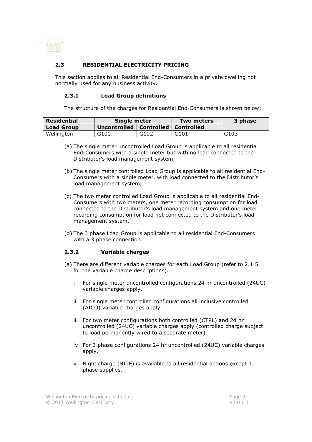

# 2.3 RESIDENTIAL ELECTRICITY PRICING

This section applies to all Residential End-Consumers in a private dwelling not normally used for any business activity.

#### 2.3.1 Load Group definitions

The structure of the charges for Residential End-Consumers is shown below;

| Residential       | Single meter                           |      | <b>Two meters</b> | 3 phase |
|-------------------|----------------------------------------|------|-------------------|---------|
| <b>Load Group</b> | Uncontrolled   Controlled   Controlled |      |                   |         |
| Wellington        | G <sub>100</sub>                       | G102 | G101              | G103    |

- (a) The single meter uncontrolled Load Group is applicable to all residential End-Consumers with a single meter but with no load connected to the Distributor's load management system,
- (b) The single meter controlled Load Group is applicable to all residential End-Consumers with a single meter, with load connected to the Distributor's load management system,
- (c) The two meter controlled Load Group is applicable to all residential End-Consumers with two meters, one meter recording consumption for load connected to the Distributor's load management system and one meter recording consumption for load not connected to the Distributor's load management system,
- (d) The 3 phase Load Group is applicable to all residential End-Consumers with a 3 phase connection.

#### 2.3.2 Variable charges

- (a) There are different variable charges for each Load Group (refer to 2.1.5 for the variable charge descriptions).
	- i For single meter uncontrolled configurations 24 hr uncontrolled (24UC) variable charges apply.
	- ii For single meter controlled configurations all inclusive controlled (AICO) variable charges apply.
	- iii For two meter configurations both controlled (CTRL) and 24 hr uncontrolled (24UC) variable charges apply (controlled charge subject to load permanently wired to a separate meter).
	- iv For 3 phase configurations 24 hr uncontrolled (24UC) variable charges apply.
	- v Night charge (NITE) is available to all residential options except 3 phase supplies.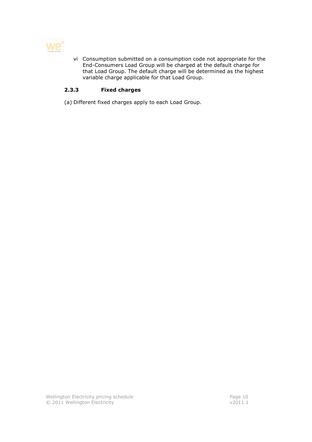

vi Consumption submitted on a consumption code not appropriate for the End-Consumers Load Group will be charged at the default charge for that Load Group. The default charge will be determined as the highest variable charge applicable for that Load Group.

# 2.3.3 Fixed charges

(a) Different fixed charges apply to each Load Group.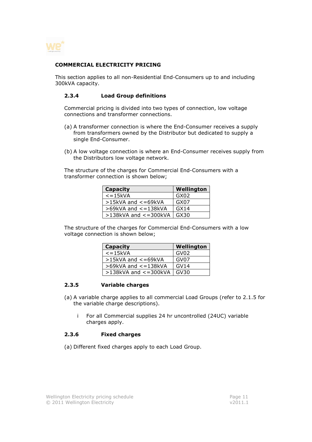

#### COMMERCIAL ELECTRICITY PRICING

This section applies to all non-Residential End-Consumers up to and including 300kVA capacity.

#### 2.3.4 Load Group definitions

Commercial pricing is divided into two types of connection, low voltage connections and transformer connections.

- (a) A transformer connection is where the End-Consumer receives a supply from transformers owned by the Distributor but dedicated to supply a single End-Consumer.
- (b) A low voltage connection is where an End-Consumer receives supply from the Distributors low voltage network.

The structure of the charges for Commercial End-Consumers with a transformer connection is shown below;

| <b>Capacity</b>            | Wellington       |
|----------------------------|------------------|
| $\epsilon$ = 15kVA         | GX02             |
| >15kVA and <= 69kVA        | GX07             |
| $>69$ kVA and $<=138$ kVA  | GX <sub>14</sub> |
| $>138$ kVA and $<=300$ kVA | GX30             |

The structure of the charges for Commercial End-Consumers with a low voltage connection is shown below;

| <b>Capacity</b>              | Wellington |
|------------------------------|------------|
| $\epsilon$ = 15kVA           | GV02       |
| $>15kVA$ and $<=69kVA$       | GV07       |
| $>69$ kVA and $\lt$ = 138kVA | GVI4       |
| $>138$ kVA and $<=300$ kVA   | GV30       |

# 2.3.5 Variable charges

- (a) A variable charge applies to all commercial Load Groups (refer to 2.1.5 for the variable charge descriptions).
	- i For all Commercial supplies 24 hr uncontrolled (24UC) variable charges apply.

#### 2.3.6 Fixed charges

(a) Different fixed charges apply to each Load Group.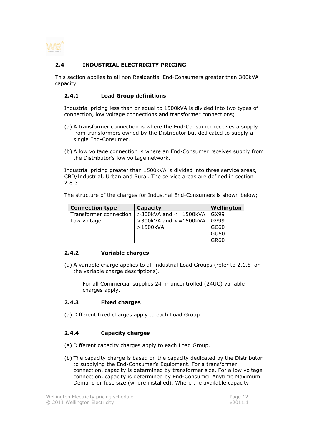

# 2.4 INDUSTRIAL ELECTRICITY PRICING

This section applies to all non Residential End-Consumers greater than 300kVA capacity.

# 2.4.1 Load Group definitions

Industrial pricing less than or equal to 1500kVA is divided into two types of connection, low voltage connections and transformer connections;

- (a) A transformer connection is where the End-Consumer receives a supply from transformers owned by the Distributor but dedicated to supply a single End-Consumer.
- (b) A low voltage connection is where an End-Consumer receives supply from the Distributor's low voltage network.

Industrial pricing greater than 1500kVA is divided into three service areas, CBD/Industrial, Urban and Rural. The service areas are defined in section 2.8.3.

The structure of the charges for Industrial End-Consumers is shown below;

| <b>Connection type</b> | Capacity                     | Wellington |
|------------------------|------------------------------|------------|
| Transformer connection | $>$ 300kVA and $<$ = 1500kVA | GX99       |
| Low voltage            | $>$ 300kVA and $<$ =1500kVA  | GV99       |
|                        | >1500kVA                     | GC60       |
|                        |                              | GU60       |
|                        |                              | GR60       |

#### 2.4.2 Variable charges

- (a) A variable charge applies to all industrial Load Groups (refer to 2.1.5 for the variable charge descriptions).
	- i For all Commercial supplies 24 hr uncontrolled (24UC) variable charges apply.

#### 2.4.3 Fixed charges

(a) Different fixed charges apply to each Load Group.

# 2.4.4 Capacity charges

- (a) Different capacity charges apply to each Load Group.
- (b) The capacity charge is based on the capacity dedicated by the Distributor to supplying the End-Consumer's Equipment. For a transformer connection, capacity is determined by transformer size. For a low voltage connection, capacity is determined by End-Consumer Anytime Maximum Demand or fuse size (where installed). Where the available capacity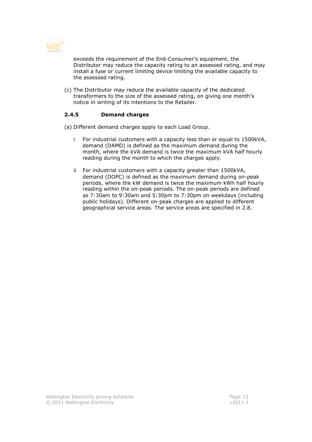

exceeds the requirement of the End-Consumer's equipment, the Distributor may reduce the capacity rating to an assessed rating, and may install a fuse or current limiting device limiting the available capacity to the assessed rating.

(c) The Distributor may reduce the available capacity of the dedicated transformers to the size of the assessed rating, on giving one month's notice in writing of its intentions to the Retailer.

# 2.4.5 Demand charges

(a) Different demand charges apply to each Load Group.

- i For industrial customers with a capacity less than or equal to 1500kVA, demand (DAMD) is defined as the maximum demand during the month, where the kVA demand is twice the maximum kVA half hourly reading during the month to which the charges apply.
- ii For industrial customers with a capacity greater than 1500kVA, demand (DOPC) is defined as the maximum demand during on-peak periods, where the kW demand is twice the maximum kWh half hourly reading within the on-peak periods. The on-peak periods are defined as 7:30am to 9:30am and 5:30pm to 7:30pm on weekdays (including public holidays). Different on-peak charges are applied to different geographical service areas. The service areas are specified in 2.8.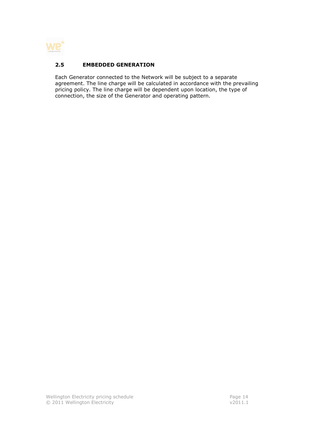

# 2.5 EMBEDDED GENERATION

Each Generator connected to the Network will be subject to a separate agreement. The line charge will be calculated in accordance with the prevailing pricing policy. The line charge will be dependent upon location, the type of connection, the size of the Generator and operating pattern.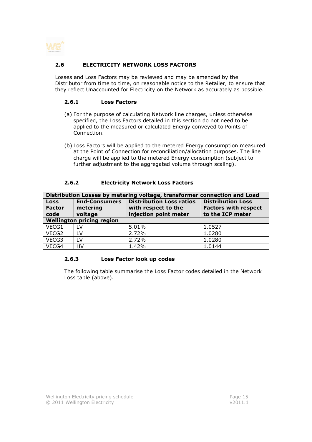

# 2.6 ELECTRICITY NETWORK LOSS FACTORS

Losses and Loss Factors may be reviewed and may be amended by the Distributor from time to time, on reasonable notice to the Retailer, to ensure that they reflect Unaccounted for Electricity on the Network as accurately as possible.

#### 2.6.1 Loss Factors

- (a) For the purpose of calculating Network line charges, unless otherwise specified, the Loss Factors detailed in this section do not need to be applied to the measured or calculated Energy conveyed to Points of Connection.
- (b) Loss Factors will be applied to the metered Energy consumption measured at the Point of Connection for reconciliation/allocation purposes. The line charge will be applied to the metered Energy consumption (subject to further adjustment to the aggregated volume through scaling).

#### 2.6.2 Electricity Network Loss Factors

| Distribution Losses by metering voltage, transformer connection and Load |                                  |                                                        |                                                         |
|--------------------------------------------------------------------------|----------------------------------|--------------------------------------------------------|---------------------------------------------------------|
| <b>Loss</b><br><b>Factor</b>                                             | <b>End-Consumers</b><br>metering | <b>Distribution Loss ratios</b><br>with respect to the | <b>Distribution Loss</b><br><b>Factors with respect</b> |
| code                                                                     | voltage                          | injection point meter                                  | to the ICP meter                                        |
| <b>Wellington pricing region</b>                                         |                                  |                                                        |                                                         |
| VECG1                                                                    | LV                               | 5.01%                                                  | 1.0527                                                  |
| VECG2                                                                    | LV                               | 2.72%                                                  | 1.0280                                                  |
| VECG3                                                                    | I V                              | 2.72%                                                  | 1.0280                                                  |
| VECG4                                                                    | HV                               | 1.42%                                                  | 1.0144                                                  |

#### 2.6.3 Loss Factor look up codes

The following table summarise the Loss Factor codes detailed in the Network Loss table (above).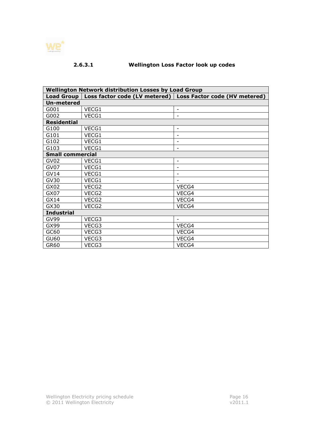

# 2.6.3.1 Wellington Loss Factor look up codes

| <b>Wellington Network distribution Losses by Load Group</b> |       |                                                               |  |  |
|-------------------------------------------------------------|-------|---------------------------------------------------------------|--|--|
| <b>Load Group</b>                                           |       | Loss factor code (LV metered)   Loss Factor code (HV metered) |  |  |
| <b>Un-metered</b>                                           |       |                                                               |  |  |
| G001                                                        | VECG1 | $\overline{\phantom{a}}$                                      |  |  |
| G002                                                        | VECG1 | $\overline{\phantom{a}}$                                      |  |  |
| <b>Residential</b>                                          |       |                                                               |  |  |
| G100                                                        | VECG1 | $\overline{\phantom{a}}$                                      |  |  |
| G101                                                        | VECG1 |                                                               |  |  |
| G102                                                        | VECG1 | $\overline{\phantom{a}}$                                      |  |  |
| G103                                                        | VECG1 | $\overline{\phantom{a}}$                                      |  |  |
| <b>Small commercial</b>                                     |       |                                                               |  |  |
| GV <sub>02</sub>                                            | VECG1 | $\overline{\phantom{a}}$                                      |  |  |
| GV07                                                        | VECG1 | $\overline{a}$                                                |  |  |
| <b>GV14</b>                                                 | VECG1 | $\overline{\phantom{a}}$                                      |  |  |
| GV30                                                        | VECG1 | $\overline{\phantom{a}}$                                      |  |  |
| GX02                                                        | VECG2 | VECG4                                                         |  |  |
| GX07                                                        | VECG2 | VECG4                                                         |  |  |
| GX14                                                        | VECG2 | VECG4                                                         |  |  |
| GX30                                                        | VECG2 | VECG4                                                         |  |  |
| <b>Industrial</b>                                           |       |                                                               |  |  |
| <b>GV99</b>                                                 | VECG3 |                                                               |  |  |
| GX99                                                        | VECG3 | VECG4                                                         |  |  |
| GC60                                                        | VECG3 | VECG4                                                         |  |  |
| GU60                                                        | VECG3 | VECG4                                                         |  |  |
| GR60                                                        | VECG3 | VECG4                                                         |  |  |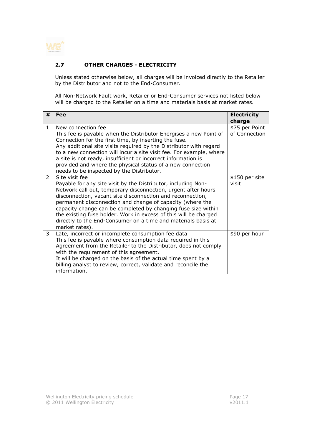

# 2.7 OTHER CHARGES - ELECTRICITY

Unless stated otherwise below, all charges will be invoiced directly to the Retailer by the Distributor and not to the End-Consumer.

All Non-Network Fault work, Retailer or End-Consumer services not listed below will be charged to the Retailer on a time and materials basis at market rates.

| #             | Fee                                                                 | <b>Electricity</b> |
|---------------|---------------------------------------------------------------------|--------------------|
|               |                                                                     | charge             |
| $\mathbf{1}$  | New connection fee                                                  | \$75 per Point     |
|               | This fee is payable when the Distributor Energises a new Point of   | of Connection      |
|               | Connection for the first time, by inserting the fuse.               |                    |
|               | Any additional site visits required by the Distributor with regard  |                    |
|               | to a new connection will incur a site visit fee. For example, where |                    |
|               | a site is not ready, insufficient or incorrect information is       |                    |
|               | provided and where the physical status of a new connection          |                    |
|               | needs to be inspected by the Distributor.                           |                    |
| $\mathcal{P}$ | Site visit fee                                                      | \$150 per site     |
|               | Payable for any site visit by the Distributor, including Non-       | visit              |
|               | Network call out, temporary disconnection, urgent after hours       |                    |
|               | disconnection, vacant site disconnection and reconnection,          |                    |
|               | permanent disconnection and change of capacity (where the           |                    |
|               | capacity change can be completed by changing fuse size within       |                    |
|               | the existing fuse holder. Work in excess of this will be charged    |                    |
|               | directly to the End-Consumer on a time and materials basis at       |                    |
|               | market rates).                                                      |                    |
| 3             | Late, incorrect or incomplete consumption fee data                  | \$90 per hour      |
|               | This fee is payable where consumption data required in this         |                    |
|               | Agreement from the Retailer to the Distributor, does not comply     |                    |
|               | with the requirement of this agreement.                             |                    |
|               | It will be charged on the basis of the actual time spent by a       |                    |
|               | billing analyst to review, correct, validate and reconcile the      |                    |
|               | information.                                                        |                    |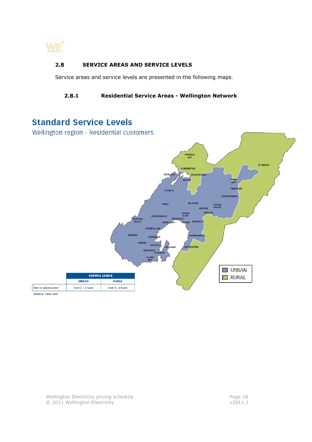

# 2.8 SERVICE AREAS AND SERVICE LEVELS

Service areas and service levels are presented in the following maps.

# 2.8.1 Residential Service Areas - Wellington Network

# **Standard Service Levels**

Wellington region - Residential customers



Effective: 1 May 2005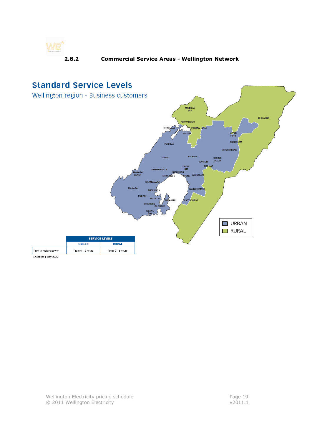

# 2.8.2 Commercial Service Areas - Wellington Network